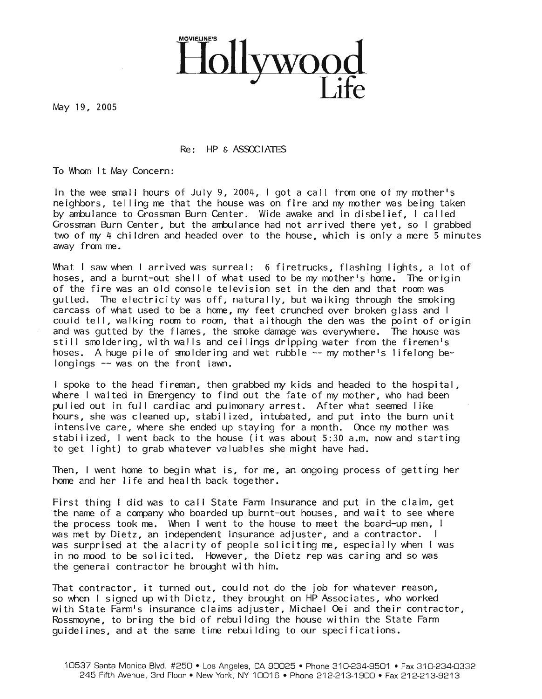

May 19, 2005

## $Re:$  HP  $\epsilon$  ASSOCIATES

To Whom It May Concern:

In the wee small hours of July 9, 2004, I got a call from one of my mother's neighbors, telling me that the house was on fire and my mother was being taken by ambulance to Grossman Burn Center. Wide awake and in disbelief, I called Grossman Burn Center, but the ambulance had not arrived there yet, so I grabbed two of  $my$  4 children and headed over to the house, which is only a mere 5 minutes away from me.

What I saw when I arrived was surreal: 6 firetrucks, flashing lights, a lot of hoses, and a burnt-out shell of what used to be my mother's home. The origin of the fire was an old console television set in the den and that room was gutted. The electricity was off, naturally, but walking through the smoking carcass of what used to be a home, my feet crunched over broken glass and I could tell, walking room to room, that although the den was the point of origin and was gutted by the flames, the smoke damage was everywhere. The house was still smoldering, with walls and ceilings dripping water from the firemen's hoses. A huge pile of smoldering and wet rubble  $-$ - my mother's lifelong belongings -- was on the front lawn.

I spoke to the head fireman, then grabbed my kids and headed to the hospital, where I waited in Emergency to find out the fate of my mother, who had been pulled out in full cardiac and pulmonary arrest. After what seemed like hours, she was cleaned up, stabi Iized, intubated, and put into the burn unit intensive care, where she ended up staying for a month. Once my mother was stabi lized, I went back to the house (it was about 5:30 a.m. now and starting to get Iight) to grab whatever valuables she might have had.

Then, I went home to begin what is, for me, an ongoing process of getting her home and her life and health back together.

First thing I did was to call State Farm Insurance and put in the claim, get the name of a company who boarded up burnt-out houses, and wait to see where the process took me. When I went to the house to meet the board-up men, I was met by Dietz, an independent insurance adjuster, and a contractor. I was surprised at the alacrity of people sol iciting me, especially when I was in no mood to be sol icited. However, the Dietz rep was caring and so was the general contractor he brought with him.

That contractor, it turned out, could not do the job for whatever reason, so when I signed up with Dietz, they brought on HP Associates, who worked with State Farm's insurance claims adjuster, Michael Oei and their contractor, Rossmoyne, to bring the bid of rebui Iding the house within the State Farm guidelines, and at the same time rebui Iding to our specifications.